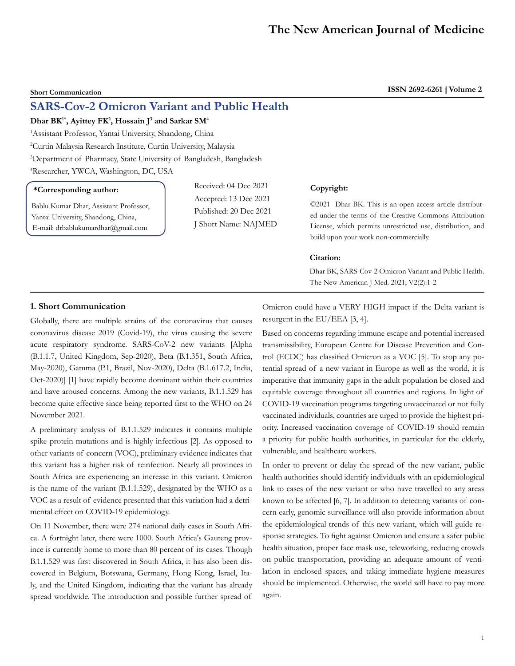# **SARS-Cov-2 Omicron Variant and Public Health**

# **Dhar BK1\*, Ayittey FK2 , Hossain J3 and Sarkar SM4**

1 Assistant Professor, Yantai University, Shandong, China

2 Curtin Malaysia Research Institute, Curtin University, Malaysia

3 Department of Pharmacy, State University of Bangladesh, Bangladesh

4 Researcher, YWCA, Washington, DC, USA

## **\*Corresponding author:**

Bablu Kumar Dhar, Assistant Professor, Yantai University, Shandong, China, E-mail: drbablukumardhar@gmail.com

Received: 04 Dec 2021 Accepted: 13 Dec 2021 Published: 20 Dec 2021 J Short Name: NAJMED

#### **Copyright:**

©2021 Dhar BK. This is an open access article distributed under the terms of the Creative Commons Attribution License, which permits unrestricted use, distribution, and build upon your work non-commercially.

### **Citation:**

Dhar BK, SARS-Cov-2 Omicron Variant and Public Health. The New American J Med. 2021; V2(2):1-2

# **1. Short Communication**

Globally, there are multiple strains of the coronavirus that causes coronavirus disease 2019 (Covid-19), the virus causing the severe acute respiratory syndrome. SARS-CoV-2 new variants [Alpha (B.1.1.7, United Kingdom, Sep-2020), Beta (B.1.351, South Africa, May-2020), Gamma (P.1, Brazil, Nov-2020), Delta (B.1.617.2, India, Oct-2020)] [1] have rapidly become dominant within their countries and have aroused concerns. Among the new variants, B.1.1.529 has become quite effective since being reported first to the WHO on 24 November 2021.

A preliminary analysis of B.1.1.529 indicates it contains multiple spike protein mutations and is highly infectious [2]. As opposed to other variants of concern (VOC), preliminary evidence indicates that this variant has a higher risk of reinfection. Nearly all provinces in South Africa are experiencing an increase in this variant. Omicron is the name of the variant (B.1.1.529), designated by the WHO as a VOC as a result of evidence presented that this variation had a detrimental effect on COVID-19 epidemiology.

On 11 November, there were 274 national daily cases in South Africa. A fortnight later, there were 1000. South Africa's Gauteng province is currently home to more than 80 percent of its cases. Though B.1.1.529 was first discovered in South Africa, it has also been discovered in Belgium, Botswana, Germany, Hong Kong, Israel, Italy, and the United Kingdom, indicating that the variant has already spread worldwide. The introduction and possible further spread of Omicron could have a VERY HIGH impact if the Delta variant is resurgent in the EU/EEA [3, 4].

Based on concerns regarding immune escape and potential increased transmissibility, European Centre for Disease Prevention and Control (ECDC) has classified Omicron as a VOC [5]. To stop any potential spread of a new variant in Europe as well as the world, it is imperative that immunity gaps in the adult population be closed and equitable coverage throughout all countries and regions. In light of COVID-19 vaccination programs targeting unvaccinated or not fully vaccinated individuals, countries are urged to provide the highest priority. Increased vaccination coverage of COVID-19 should remain a priority for public health authorities, in particular for the elderly, vulnerable, and healthcare workers.

In order to prevent or delay the spread of the new variant, public health authorities should identify individuals with an epidemiological link to cases of the new variant or who have travelled to any areas known to be affected [6, 7]. In addition to detecting variants of concern early, genomic surveillance will also provide information about the epidemiological trends of this new variant, which will guide response strategies. To fight against Omicron and ensure a safer public health situation, proper face mask use, teleworking, reducing crowds on public transportation, providing an adequate amount of ventilation in enclosed spaces, and taking immediate hygiene measures should be implemented. Otherwise, the world will have to pay more again.